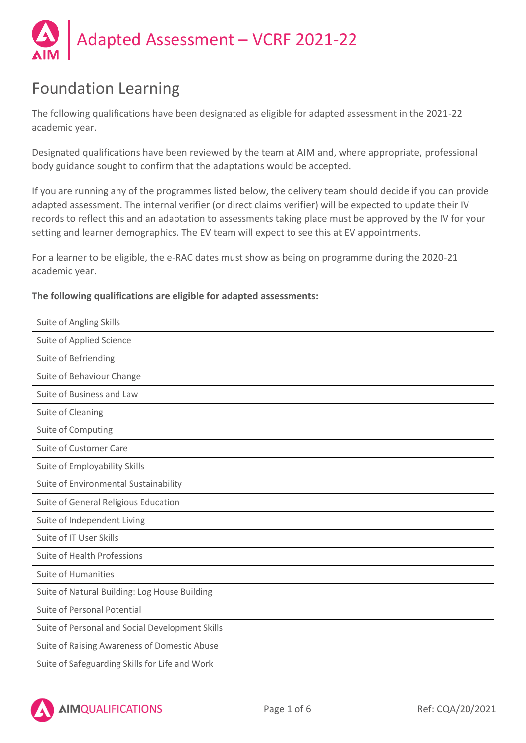

# Foundation Learning

The following qualifications have been designated as eligible for adapted assessment in the 2021-22 academic year.

Designated qualifications have been reviewed by the team at AIM and, where appropriate, professional body guidance sought to confirm that the adaptations would be accepted.

If you are running any of the programmes listed below, the delivery team should decide if you can provide adapted assessment. The internal verifier (or direct claims verifier) will be expected to update their IV records to reflect this and an adaptation to assessments taking place must be approved by the IV for your setting and learner demographics. The EV team will expect to see this at EV appointments.

For a learner to be eligible, the e-RAC dates must show as being on programme during the 2020-21 academic year.

## **The following qualifications are eligible for adapted assessments:**

| Suite of Angling Skills                         |
|-------------------------------------------------|
| Suite of Applied Science                        |
| Suite of Befriending                            |
| Suite of Behaviour Change                       |
| Suite of Business and Law                       |
| Suite of Cleaning                               |
| Suite of Computing                              |
| Suite of Customer Care                          |
| Suite of Employability Skills                   |
| Suite of Environmental Sustainability           |
| Suite of General Religious Education            |
| Suite of Independent Living                     |
| Suite of IT User Skills                         |
| Suite of Health Professions                     |
| <b>Suite of Humanities</b>                      |
| Suite of Natural Building: Log House Building   |
| Suite of Personal Potential                     |
| Suite of Personal and Social Development Skills |
| Suite of Raising Awareness of Domestic Abuse    |
| Suite of Safeguarding Skills for Life and Work  |

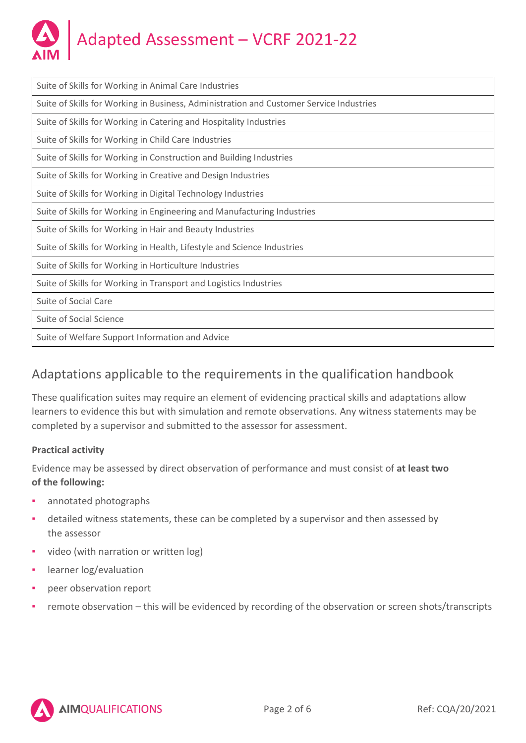

| Suite of Skills for Working in Animal Care Industries                                   |
|-----------------------------------------------------------------------------------------|
| Suite of Skills for Working in Business, Administration and Customer Service Industries |
| Suite of Skills for Working in Catering and Hospitality Industries                      |
| Suite of Skills for Working in Child Care Industries                                    |
| Suite of Skills for Working in Construction and Building Industries                     |
| Suite of Skills for Working in Creative and Design Industries                           |
| Suite of Skills for Working in Digital Technology Industries                            |
| Suite of Skills for Working in Engineering and Manufacturing Industries                 |
| Suite of Skills for Working in Hair and Beauty Industries                               |
| Suite of Skills for Working in Health, Lifestyle and Science Industries                 |
| Suite of Skills for Working in Horticulture Industries                                  |
| Suite of Skills for Working in Transport and Logistics Industries                       |
| Suite of Social Care                                                                    |
| Suite of Social Science                                                                 |
| Suite of Welfare Support Information and Advice                                         |

# Adaptations applicable to the requirements in the qualification handbook

These qualification suites may require an element of evidencing practical skills and adaptations allow learners to evidence this but with simulation and remote observations. Any witness statements may be completed by a supervisor and submitted to the assessor for assessment.

# **Practical activity**

Evidence may be assessed by direct observation of performance and must consist of **at least two of the following:**

- **•** annotated photographs
- **•** detailed witness statements, these can be completed by a supervisor and then assessed by the assessor
- video (with narration or written log)
- **·** learner log/evaluation
- peer observation report
- remote observation this will be evidenced by recording of the observation or screen shots/transcripts